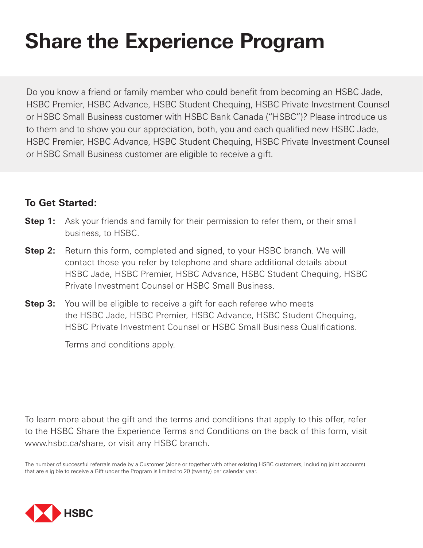# **Share the Experience Program**

Do you know a friend or family member who could benefit from becoming an HSBC Jade, HSBC Premier, HSBC Advance, HSBC Student Chequing, HSBC Private Investment Counsel or HSBC Small Business customer with HSBC Bank Canada ("HSBC")? Please introduce us to them and to show you our appreciation, both, you and each qualified new HSBC Jade, HSBC Premier, HSBC Advance, HSBC Student Chequing, HSBC Private Investment Counsel or HSBC Small Business customer are eligible to receive a gift.

## **To Get Started:**

- **Step 1:** Ask your friends and family for their permission to refer them, or their small business, to HSBC.
- **Step 2:** Return this form, completed and signed, to your HSBC branch. We will contact those you refer by telephone and share additional details about HSBC Jade, HSBC Premier, HSBC Advance, HSBC Student Chequing, HSBC Private Investment Counsel or HSBC Small Business.
- **Step 3:** You will be eligible to receive a gift for each referee who meets the HSBC Jade, HSBC Premier, HSBC Advance, HSBC Student Chequing, HSBC Private Investment Counsel or HSBC Small Business Qualifications.

Terms and conditions apply.

To learn more about the gift and the terms and conditions that apply to this offer, refer to the HSBC Share the Experience Terms and Conditions on the back of this form, visit www.hsbc.ca/share, or visit any HSBC branch.

The number of successful referrals made by a Customer (alone or together with other existing HSBC customers, including joint accounts) that are eligible to receive a Gift under the Program is limited to 20 (twenty) per calendar year.

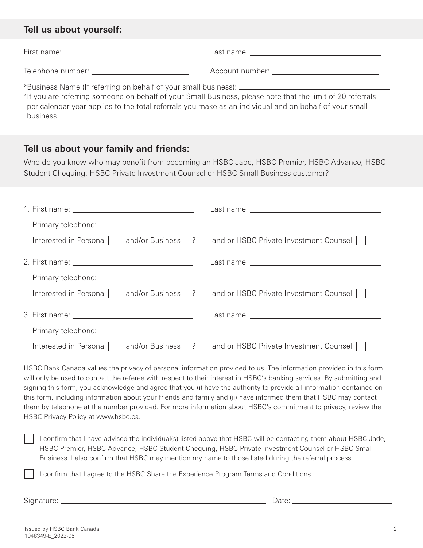## **Tell us about yourself:**

| First name:         | Last name:        |
|---------------------|-------------------|
| Telephone number: _ | Account number: _ |

\*Business Name (If referring on behalf of your small business):

\*If you are referring someone on behalf of your Small Business, please note that the limit of 20 referrals per calendar year applies to the total referrals you make as an individual and on behalf of your small business.

## **Tell us about your family and friends:**

Who do you know who may benefit from becoming an HSBC Jade, HSBC Premier, HSBC Advance, HSBC Student Chequing, HSBC Private Investment Counsel or HSBC Small Business customer?

| and/or Business    ?<br>Interested in Personal | and or HSBC Private Investment Counsel |
|------------------------------------------------|----------------------------------------|
|                                                |                                        |
|                                                |                                        |
| and/or Business    ?<br>Interested in Personal | and or HSBC Private Investment Counsel |
|                                                |                                        |
|                                                |                                        |
| and/or Business    ?<br>Interested in Personal | and or HSBC Private Investment Counsel |

HSBC Bank Canada values the privacy of personal information provided to us. The information provided in this form will only be used to contact the referee with respect to their interest in HSBC's banking services. By submitting and signing this form, you acknowledge and agree that you (i) have the authority to provide all information contained on this form, including information about your friends and family and (ii) have informed them that HSBC may contact them by telephone at the number provided. For more information about HSBC's commitment to privacy, review the HSBC Privacy Policy at www.hsbc.ca.

I confirm that I have advised the individual(s) listed above that HSBC will be contacting them about HSBC Jade, HSBC Premier, HSBC Advance, HSBC Student Chequing, HSBC Private Investment Counsel or HSBC Small Business. I also confirm that HSBC may mention my name to those listed during the referral process.

I confirm that I agree to the HSBC Share the Experience Program Terms and Conditions.

Signature: Date: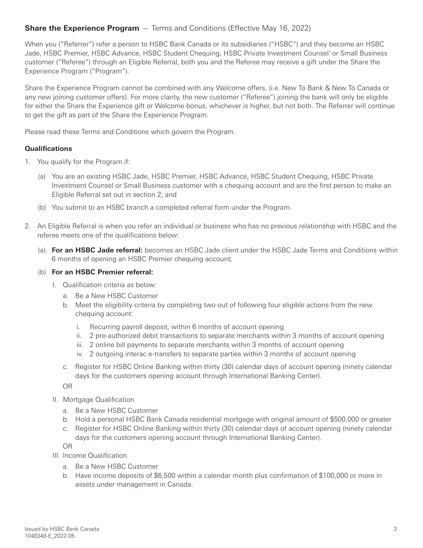### **Share the Experience Program** — Terms and Conditions (Effective May 16, 2022)

When you ("Referrer") refer a person to HSBC Bank Canada or its subsidiaries ("HSBC") and they become an HSBC Jade, HSBC Premier, HSBC Advance, HSBC Student Chequing, HSBC Private Investment Counsel<sup>1</sup> or Small Business customer ("Referee") through an Eligible Referral, both you and the Referee may receive a gift under the Share the Experience Program ("Program").

Share the Experience Program cannot be combined with any Welcome offers, (i.e. New To Bank & New To Canada or any new joining customer offers). For more clarity, the new customer ("Referee") joining the bank will only be eligible for either the Share the Experience gift or Welcome bonus, whichever is higher, but not both. The Referrer will continue to get the gift as part of the Share the Experience Program.

Please read these Terms and Conditions which govern the Program.

#### **Qualifications**

- 1. You qualify for the Program if:
	- (a) You are an existing HSBC Jade, HSBC Premier, HSBC Advance, HSBC Student Chequing, HSBC Private Investment Counsel or Small Business customer with a chequing account and are the first person to make an Eligible Referral set out in section 2; and
	- (b) You submit to an HSBC branch a completed referral form under the Program.
- 2. An Eligible Referral is when you refer an individual or business who has no previous relationship with HSBC and the referee meets one of the qualifications below:
	- (a) **For an HSBC Jade referral:** becomes an HSBC Jade client under the HSBC Jade Terms and Conditions within 6 months of opening an HSBC Premier chequing account;

#### (b) **For an HSBC Premier referral:**

- I. Qualification criteria as below:
	- a. Be a New HSBC Customer
	- b. Meet the eligibility criteria by completing two out of following four eligible actions from the new chequing account:
		- i. Recurring payroll deposit, within 6 months of account opening
		- ii. 2 pre-authorized debit transactions to separate merchants within 3 months of account opening
		- iii. 2 online bill payments to separate merchants within 3 months of account opening
		- iv. 2 outgoing interac e-transfers to separate parties within 3 months of account opening
	- c. Register for HSBC Online Banking within thirty (30) calendar days of account opening (ninety calendar days for the customers opening account through International Banking Center).

OR

- II. Mortgage Qualification
	- a. Be a New HSBC Customer
	- b. Hold a personal HSBC Bank Canada residential mortgage with original amount of \$500,000 or greater
	- c. Register for HSBC Online Banking within thirty (30) calendar days of account opening (ninety calendar days for the customers opening account through International Banking Center).

OR

- III. Income Qualification
	- a. Be a New HSBC Customer
	- b. Have income deposits of \$6,500 within a calendar month plus confirmation of \$100,000 or more in assets under management in Canada.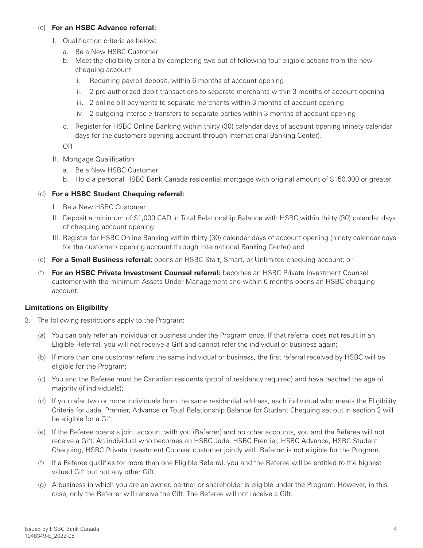#### (c) **For an HSBC Advance referral:**

- I. Qualification criteria as below:
	- a. Be a New HSBC Customer
	- b. Meet the eligibility criteria by completing two out of following four eligible actions from the new chequing account:
		- i. Recurring payroll deposit, within 6 months of account opening
		- ii. 2 pre-authorized debit transactions to separate merchants within 3 months of account opening
		- iii. 2 online bill payments to separate merchants within 3 months of account opening
		- iv. 2 outgoing interac e-transfers to separate parties within 3 months of account opening
	- c. Register for HSBC Online Banking within thirty (30) calendar days of account opening (ninety calendar days for the customers opening account through International Banking Center).

OR

- II. Mortgage Qualification
	- a. Be a New HSBC Customer
	- b. Hold a personal HSBC Bank Canada residential mortgage with original amount of \$150,000 or greater

#### (d) **For a HSBC Student Chequing referral:**

- I. Be a New HSBC Customer
- II. Deposit a minimum of \$1,000 CAD in Total Relationship Balance with HSBC within thirty (30) calendar days of chequing account opening
- III. Register for HSBC Online Banking within thirty (30) calendar days of account opening (ninety calendar days for the customers opening account through International Banking Center) and
- (e) **For a Small Business referral:** opens an HSBC Start, Smart, or Unlimited chequing account; or
- (f) **For an HSBC Private Investment Counsel referral:** becomes an HSBC Private Investment Counsel customer with the minimum Assets Under Management and within 6 months opens an HSBC chequing account.

#### **Limitations on Eligibility**

- 3. The following restrictions apply to the Program:
	- (a) You can only refer an individual or business under the Program once. If that referral does not result in an Eligible Referral, you will not receive a Gift and cannot refer the individual or business again;
	- (b) If more than one customer refers the same individual or business, the first referral received by HSBC will be eligible for the Program;
	- (c) You and the Referee must be Canadian residents (proof of residency required) and have reached the age of majority (if individuals);
	- (d) If you refer two or more individuals from the same residential address, each individual who meets the Eligibility Criteria for Jade, Premier, Advance or Total Relationship Balance for Student Chequing set out in section 2 will be eligible for a Gift.
	- (e) If the Referee opens a joint account with you (Referrer) and no other accounts, you and the Referee will not receive a Gift; An individual who becomes an HSBC Jade, HSBC Premier, HSBC Advance, HSBC Student Chequing, HSBC Private Investment Counsel customer jointly with Referrer is not eligible for the Program.
	- (f) If a Referee qualifies for more than one Eligible Referral, you and the Referee will be entitled to the highest valued Gift but not any other Gift.
	- (g) A business in which you are an owner, partner or shareholder is eligible under the Program. However, in this case, only the Referrer will receive the Gift. The Referee will not receive a Gift.